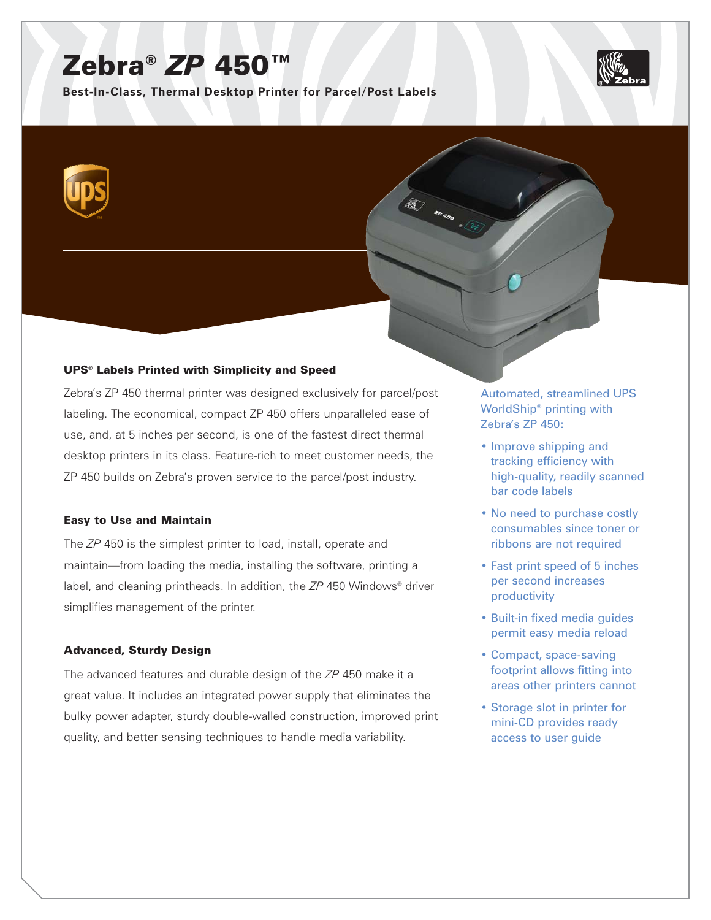# Zebra® *ZP* 450™

**Best-In-Class, Thermal Desktop Printer for Parcel/Post Labels**



# UPS® Labels Printed with Simplicity and Speed

Zebra's ZP 450 thermal printer was designed exclusively for parcel/post labeling. The economical, compact ZP 450 offers unparalleled ease of use, and, at 5 inches per second, is one of the fastest direct thermal desktop printers in its class. Feature-rich to meet customer needs, the ZP 450 builds on Zebra's proven service to the parcel/post industry.

# Easy to Use and Maintain

The *ZP* 450 is the simplest printer to load, install, operate and maintain—from loading the media, installing the software, printing a label, and cleaning printheads. In addition, the *ZP* 450 Windows® driver simplifies management of the printer.

# Advanced, Sturdy Design

The advanced features and durable design of the *ZP* 450 make it a great value. It includes an integrated power supply that eliminates the bulky power adapter, sturdy double-walled construction, improved print quality, and better sensing techniques to handle media variability.

Automated, streamlined UPS WorldShip® printing with Zebra's ZP 450:

**120 20 30 1 25** 

- Improve shipping and tracking efficiency with high-quality, readily scanned bar code labels
- No need to purchase costly consumables since toner or ribbons are not required
- Fast print speed of 5 inches per second increases productivity
- Built-in fixed media guides permit easy media reload
- Compact, space-saving footprint allows fitting into areas other printers cannot
- Storage slot in printer for mini-CD provides ready access to user guide